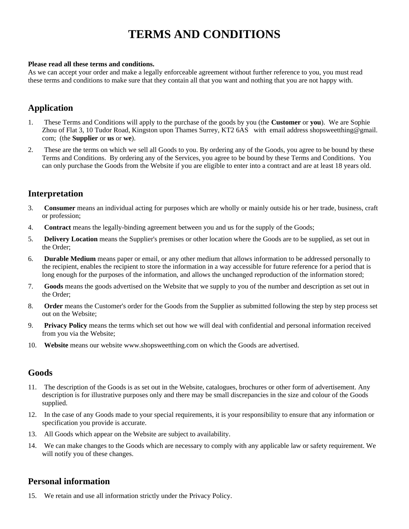# **TERMS AND CONDITIONS**

#### **Please read all these terms and conditions.**

As we can accept your order and make a legally enforceable agreement without further reference to you, you must read these terms and conditions to make sure that they contain all that you want and nothing that you are not happy with.

# **Application**

- 1. These Terms and Conditions will apply to the purchase of the goods by you (the **Customer** or **you**). We are Sophie Zhou of Flat 3, 10 Tudor Road, Kingston upon Thames Surrey, KT2 6AS with email address shopsweetthing@gmail. com; (the **Supplier** or **us** or **we**).
- 2. These are the terms on which we sell all Goods to you. By ordering any of the Goods, you agree to be bound by these Terms and Conditions. By ordering any of the Services, you agree to be bound by these Terms and Conditions. You can only purchase the Goods from the Website if you are eligible to enter into a contract and are at least 18 years old.

# **Interpretation**

- 3. **Consumer** means an individual acting for purposes which are wholly or mainly outside his or her trade, business, craft or profession;
- 4. **Contract** means the legally-binding agreement between you and us for the supply of the Goods;
- 5. **Delivery Location** means the Supplier's premises or other location where the Goods are to be supplied, as set out in the Order;
- 6. **Durable Medium** means paper or email, or any other medium that allows information to be addressed personally to the recipient, enables the recipient to store the information in a way accessible for future reference for a period that is long enough for the purposes of the information, and allows the unchanged reproduction of the information stored;
- 7. **Goods** means the goods advertised on the Website that we supply to you of the number and description as set out in the Order;
- 8. **Order** means the Customer's order for the Goods from the Supplier as submitted following the step by step process set out on the Website;
- 9. **Privacy Policy** means the terms which set out how we will deal with confidential and personal information received from you via the Website;
- 10. **Website** means our website www.shopsweetthing.com on which the Goods are advertised.

### **Goods**

- 11. The description of the Goods is as set out in the Website, catalogues, brochures or other form of advertisement. Any description is for illustrative purposes only and there may be small discrepancies in the size and colour of the Goods supplied.
- 12. In the case of any Goods made to your special requirements, it is your responsibility to ensure that any information or specification you provide is accurate.
- 13. All Goods which appear on the Website are subject to availability.
- 14. We can make changes to the Goods which are necessary to comply with any applicable law or safety requirement. We will notify you of these changes.

### **Personal information**

15. We retain and use all information strictly under the Privacy Policy.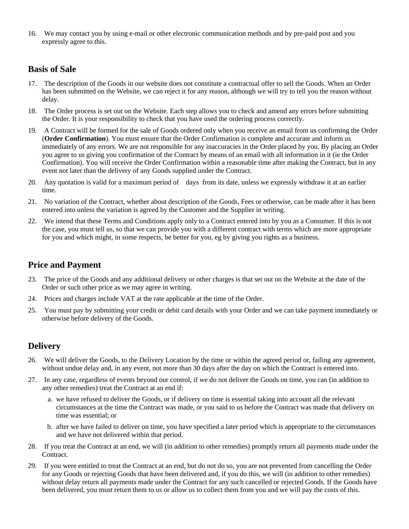16. We may contact you by using e-mail or other electronic communication methods and by pre-paid post and you expressly agree to this.

# **Basis of Sale**

- 17. The description of the Goods in our website does not constitute a contractual offer to sell the Goods. When an Order has been submitted on the Website, we can reject it for any reason, although we will try to tell you the reason without delay.
- 18. The Order process is set out on the Website. Each step allows you to check and amend any errors before submitting the Order. It is your responsibility to check that you have used the ordering process correctly.
- 19. A Contract will be formed for the sale of Goods ordered only when you receive an email from us confirming the Order (**Order Confirmation**). You must ensure that the Order Confirmation is complete and accurate and inform us immediately of any errors. We are not responsible for any inaccuracies in the Order placed by you. By placing an Order you agree to us giving you confirmation of the Contract by means of an email with all information in it (ie the Order Confirmation). You will receive the Order Confirmation within a reasonable time after making the Contract, but in any event not later than the delivery of any Goods supplied under the Contract.
- 20. Any quotation is valid for a maximum period of days from its date, unless we expressly withdraw it at an earlier time.
- 21. No variation of the Contract, whether about description of the Goods, Fees or otherwise, can be made after it has been entered into unless the variation is agreed by the Customer and the Supplier in writing.
- 22. We intend that these Terms and Conditions apply only to a Contract entered into by you as a Consumer. If this is not the case, you must tell us, so that we can provide you with a different contract with terms which are more appropriate for you and which might, in some respects, be better for you, eg by giving you rights as a business.

# **Price and Payment**

- 23. The price of the Goods and any additional delivery or other charges is that set out on the Website at the date of the Order or such other price as we may agree in writing.
- 24. Prices and charges include VAT at the rate applicable at the time of the Order.
- 25. You must pay by submitting your credit or debit card details with your Order and we can take payment immediately or otherwise before delivery of the Goods.

# **Delivery**

- 26. We will deliver the Goods, to the Delivery Location by the time or within the agreed period or, failing any agreement, without undue delay and, in any event, not more than 30 days after the day on which the Contract is entered into.
- 27. In any case, regardless of events beyond our control, if we do not deliver the Goods on time, you can (in addition to any other remedies) treat the Contract at an end if:
	- a. we have refused to deliver the Goods, or if delivery on time is essential taking into account all the relevant circumstances at the time the Contract was made, or you said to us before the Contract was made that delivery on time was essential; or
	- b. after we have failed to deliver on time, you have specified a later period which is appropriate to the circumstances and we have not delivered within that period.
- 28. If you treat the Contract at an end, we will (in addition to other remedies) promptly return all payments made under the Contract.
- 29. If you were entitled to treat the Contract at an end, but do not do so, you are not prevented from cancelling the Order for any Goods or rejecting Goods that have been delivered and, if you do this, we will (in addition to other remedies) without delay return all payments made under the Contract for any such cancelled or rejected Goods. If the Goods have been delivered, you must return them to us or allow us to collect them from you and we will pay the costs of this.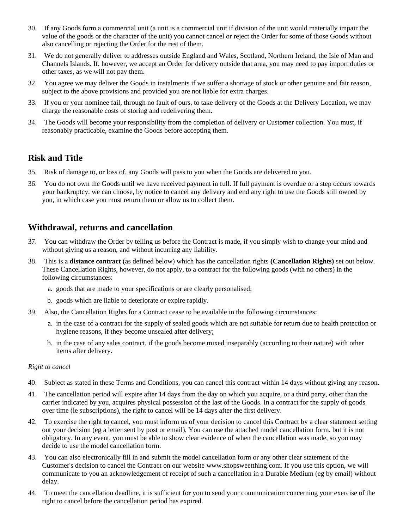- 30. If any Goods form a commercial unit (a unit is a commercial unit if division of the unit would materially impair the value of the goods or the character of the unit) you cannot cancel or reject the Order for some of those Goods without also cancelling or rejecting the Order for the rest of them.
- 31. We do not generally deliver to addresses outside England and Wales, Scotland, Northern Ireland, the Isle of Man and Channels Islands. If, however, we accept an Order for delivery outside that area, you may need to pay import duties or other taxes, as we will not pay them.
- 32. You agree we may deliver the Goods in instalments if we suffer a shortage of stock or other genuine and fair reason, subject to the above provisions and provided you are not liable for extra charges.
- 33. If you or your nominee fail, through no fault of ours, to take delivery of the Goods at the Delivery Location, we may charge the reasonable costs of storing and redelivering them.
- 34. The Goods will become your responsibility from the completion of delivery or Customer collection. You must, if reasonably practicable, examine the Goods before accepting them.

### **Risk and Title**

- 35. Risk of damage to, or loss of, any Goods will pass to you when the Goods are delivered to you.
- 36. You do not own the Goods until we have received payment in full. If full payment is overdue or a step occurs towards your bankruptcy, we can choose, by notice to cancel any delivery and end any right to use the Goods still owned by you, in which case you must return them or allow us to collect them.

### **Withdrawal, returns and cancellation**

- 37. You can withdraw the Order by telling us before the Contract is made, if you simply wish to change your mind and without giving us a reason, and without incurring any liability.
- 38. This is a **distance contract** (as defined below) which has the cancellation rights **(Cancellation Rights)** set out below. These Cancellation Rights, however, do not apply, to a contract for the following goods (with no others) in the following circumstances:
	- a. goods that are made to your specifications or are clearly personalised;
	- b. goods which are liable to deteriorate or expire rapidly.
- 39. Also, the Cancellation Rights for a Contract cease to be available in the following circumstances:
	- a. in the case of a contract for the supply of sealed goods which are not suitable for return due to health protection or hygiene reasons, if they become unsealed after delivery;
	- b. in the case of any sales contract, if the goods become mixed inseparably (according to their nature) with other items after delivery.

#### *Right to cancel*

- 40. Subject as stated in these Terms and Conditions, you can cancel this contract within 14 days without giving any reason.
- 41. The cancellation period will expire after 14 days from the day on which you acquire, or a third party, other than the carrier indicated by you, acquires physical possession of the last of the Goods. In a contract for the supply of goods over time (ie subscriptions), the right to cancel will be 14 days after the first delivery.
- 42. To exercise the right to cancel, you must inform us of your decision to cancel this Contract by a clear statement setting out your decision (eg a letter sent by post or email). You can use the attached model cancellation form, but it is not obligatory. In any event, you must be able to show clear evidence of when the cancellation was made, so you may decide to use the model cancellation form.
- 43. You can also electronically fill in and submit the model cancellation form or any other clear statement of the Customer's decision to cancel the Contract on our website www.shopsweetthing.com. If you use this option, we will communicate to you an acknowledgement of receipt of such a cancellation in a Durable Medium (eg by email) without delay.
- 44. To meet the cancellation deadline, it is sufficient for you to send your communication concerning your exercise of the right to cancel before the cancellation period has expired.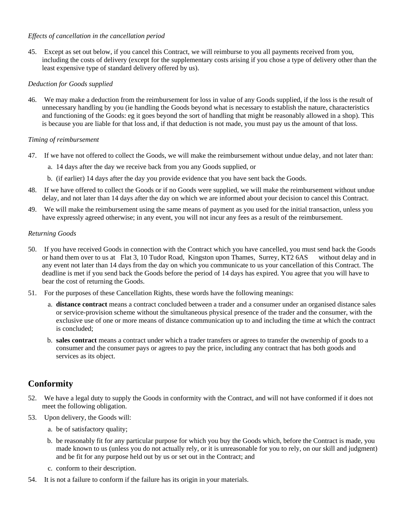#### *Effects of cancellation in the cancellation period*

45. Except as set out below, if you cancel this Contract, we will reimburse to you all payments received from you, including the costs of delivery (except for the supplementary costs arising if you chose a type of delivery other than the least expensive type of standard delivery offered by us).

#### *Deduction for Goods supplied*

46. We may make a deduction from the reimbursement for loss in value of any Goods supplied, if the loss is the result of unnecessary handling by you (ie handling the Goods beyond what is necessary to establish the nature, characteristics and functioning of the Goods: eg it goes beyond the sort of handling that might be reasonably allowed in a shop). This is because you are liable for that loss and, if that deduction is not made, you must pay us the amount of that loss.

#### *Timing of reimbursement*

- 47. If we have not offered to collect the Goods, we will make the reimbursement without undue delay, and not later than:
	- a. 14 days after the day we receive back from you any Goods supplied, or
	- b. (if earlier) 14 days after the day you provide evidence that you have sent back the Goods.
- 48. If we have offered to collect the Goods or if no Goods were supplied, we will make the reimbursement without undue delay, and not later than 14 days after the day on which we are informed about your decision to cancel this Contract.
- 49. We will make the reimbursement using the same means of payment as you used for the initial transaction, unless you have expressly agreed otherwise; in any event, you will not incur any fees as a result of the reimbursement.

#### *Returning Goods*

- 50. If you have received Goods in connection with the Contract which you have cancelled, you must send back the Goods or hand them over to us at Flat 3, 10 Tudor Road, Kingston upon Thames, Surrey, KT2 6AS without delay and in any event not later than 14 days from the day on which you communicate to us your cancellation of this Contract. The deadline is met if you send back the Goods before the period of 14 days has expired. You agree that you will have to bear the cost of returning the Goods.
- 51. For the purposes of these Cancellation Rights, these words have the following meanings:
	- a. **distance contract** means a contract concluded between a trader and a consumer under an organised distance sales or service-provision scheme without the simultaneous physical presence of the trader and the consumer, with the exclusive use of one or more means of distance communication up to and including the time at which the contract is concluded;
	- b. **sales contract** means a contract under which a trader transfers or agrees to transfer the ownership of goods to a consumer and the consumer pays or agrees to pay the price, including any contract that has both goods and services as its object.

# **Conformity**

- 52. We have a legal duty to supply the Goods in conformity with the Contract, and will not have conformed if it does not meet the following obligation.
- 53. Upon delivery, the Goods will:
	- a. be of satisfactory quality;
	- b. be reasonably fit for any particular purpose for which you buy the Goods which, before the Contract is made, you made known to us (unless you do not actually rely, or it is unreasonable for you to rely, on our skill and judgment) and be fit for any purpose held out by us or set out in the Contract; and
	- c. conform to their description.
- 54. It is not a failure to conform if the failure has its origin in your materials.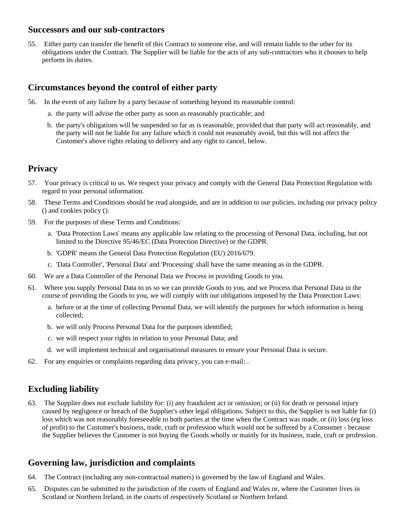### **Successors and our sub-contractors**

55. Either party can transfer the benefit of this Contract to someone else, and will remain liable to the other for its obligations under the Contract. The Supplier will be liable for the acts of any sub-contractors who it chooses to help perform its duties.

### **Circumstances beyond the control of either party**

- 56. In the event of any failure by a party because of something beyond its reasonable control:
	- a. the party will advise the other party as soon as reasonably practicable; and
	- b. the party's obligations will be suspended so far as is reasonable, provided that that party will act reasonably, and the party will not be liable for any failure which it could not reasonably avoid, but this will not affect the Customer's above rights relating to delivery and any right to cancel, below.

### **Privacy**

- 57. Your privacy is critical to us. We respect your privacy and comply with the General Data Protection Regulation with regard to your personal information.
- 58. These Terms and Conditions should be read alongside, and are in addition to our policies, including our privacy policy () and cookies policy ().
- 59. For the purposes of these Terms and Conditions:
	- a. 'Data Protection Laws' means any applicable law relating to the processing of Personal Data, including, but not limited to the Directive 95/46/EC (Data Protection Directive) or the GDPR.
	- b. 'GDPR' means the General Data Protection Regulation (EU) 2016/679.
	- c. 'Data Controller', 'Personal Data' and 'Processing' shall have the same meaning as in the GDPR.
- 60. We are a Data Controller of the Personal Data we Process in providing Goods to you.
- 61. Where you supply Personal Data to us so we can provide Goods to you, and we Process that Personal Data in the course of providing the Goods to you, we will comply with our obligations imposed by the Data Protection Laws:
	- a. before or at the time of collecting Personal Data, we will identify the purposes for which information is being collected;
	- b. we will only Process Personal Data for the purposes identified;
	- c. we will respect your rights in relation to your Personal Data; and
	- d. we will implement technical and organisational measures to ensure your Personal Data is secure.
- 62. For any enquiries or complaints regarding data privacy, you can e-mail: .

# **Excluding liability**

63. The Supplier does not exclude liability for: (i) any fraudulent act or omission; or (ii) for death or personal injury caused by negligence or breach of the Supplier's other legal obligations. Subject to this, the Supplier is not liable for (i) loss which was not reasonably foreseeable to both parties at the time when the Contract was made, or (ii) loss (eg loss of profit) to the Customer's business, trade, craft or profession which would not be suffered by a Consumer - because the Supplier believes the Customer is not buying the Goods wholly or mainly for its business, trade, craft or profession.

# **Governing law, jurisdiction and complaints**

- 64. The Contract (including any non-contractual matters) is governed by the law of England and Wales.
- 65. Disputes can be submitted to the jurisdiction of the courts of England and Wales or, where the Customer lives in Scotland or Northern Ireland, in the courts of respectively Scotland or Northern Ireland.